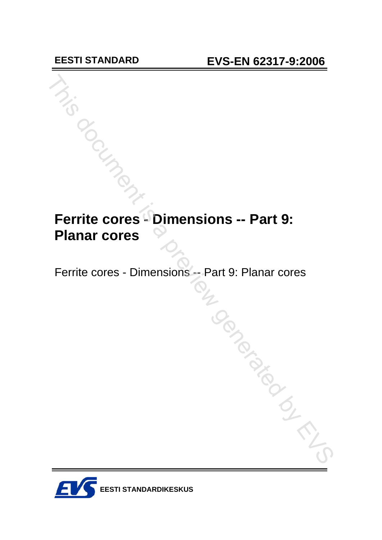# **Ferrite cores - Dimensions -- Part 9: Planar cores**

Ferrite cores - Dimensions -- Part 9: Planar cores This document is a previous cores This document is a previous core of the previous cores This document is a previous core of the previous cores This document is a previous

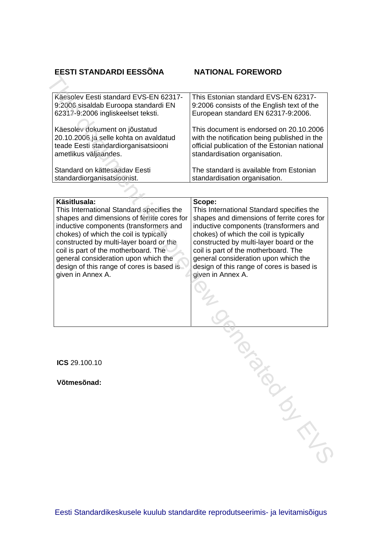| Käesolev Eesti standard EVS-EN 62317-                         | This Estonian standard EVS-EN 62317-                                           |
|---------------------------------------------------------------|--------------------------------------------------------------------------------|
| 9:2006 sisaldab Euroopa standardi EN                          | 9:2006 consists of the English text of the                                     |
| 62317-9:2006 ingliskeelset teksti.                            | European standard EN 62317-9:2006.                                             |
| Käesolev dokument on jõustatud                                | This document is endorsed on 20.10.2006                                        |
| 20.10.2006 ja selle kohta on avaldatud                        | with the notification being published in the                                   |
| teade Eesti standardiorganisatsiooni<br>ametlikus väljaandes. | official publication of the Estonian national<br>standardisation organisation. |
|                                                               |                                                                                |
| Standard on kättesaadav Eesti                                 | The standard is available from Estonian                                        |
| standardiorganisatsioonist.                                   | standardisation organisation.                                                  |

| <b>EESTI STANDARDI EESSÕNA</b>             | <b>NATIONAL FOREWORD</b>                      |
|--------------------------------------------|-----------------------------------------------|
|                                            |                                               |
| Käesolev Eesti standard EVS-EN 62317-      | This Estonian standard EVS-EN 62317-          |
| 9:2006 sisaldab Euroopa standardi EN       | 9:2006 consists of the English text of the    |
| 62317-9:2006 ingliskeelset teksti.         | European standard EN 62317-9:2006.            |
|                                            |                                               |
| Käesolev dokument on jõustatud             | This document is endorsed on 20.10.2006       |
| 20.10.2006 ja selle kohta on avaldatud     | with the notification being published in the  |
| teade Eesti standardiorganisatsiooni       | official publication of the Estonian national |
| ametlikus väljaandes.                      | standardisation organisation.                 |
|                                            |                                               |
| Standard on kättesaadav Eesti              | The standard is available from Estonian       |
| standardiorganisatsioonist.                | standardisation organisation.                 |
|                                            |                                               |
|                                            |                                               |
| Käsitlusala:                               | Scope:                                        |
| This International Standard specifies the  | This International Standard specifies the     |
| shapes and dimensions of ferrite cores for | shapes and dimensions of ferrite cores for    |
| inductive components (transformers and     | inductive components (transformers and        |
| chokes) of which the coil is typically     | chokes) of which the coil is typically        |
| constructed by multi-layer board or the    | constructed by multi-layer board or the       |
| coil is part of the motherboard. The       | coil is part of the motherboard. The          |
| general consideration upon which the       | general consideration upon which the          |
| design of this range of cores is based is  | design of this range of cores is based is     |
| given in Annex A.                          | given in Annex A.                             |
|                                            |                                               |
|                                            |                                               |
|                                            |                                               |
|                                            |                                               |
|                                            |                                               |
|                                            |                                               |
|                                            |                                               |
|                                            |                                               |
| ICS 29.100.10                              |                                               |
| Võtmesõnad:                                |                                               |
|                                            |                                               |
|                                            |                                               |
|                                            |                                               |
|                                            |                                               |
|                                            |                                               |
|                                            |                                               |
|                                            |                                               |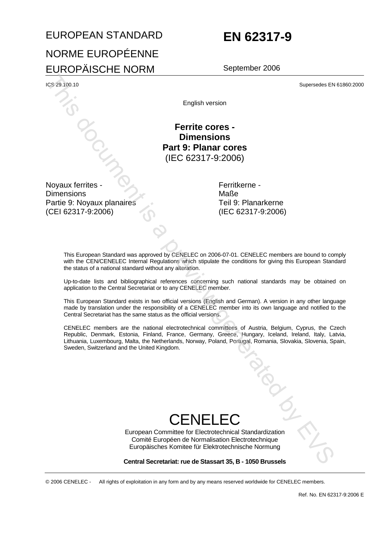## EUROPEAN STANDARD **EN 62317-9** NORME EUROPÉENNE EUROPÄISCHE NORM September 2006

ICS 29.100.10 Supersedes EN 61860:2000

English version

**Ferrite cores - Dimensions Part 9: Planar cores**  (IEC 62317-9:2006)

Noyaux ferrites - **Dimensions** Partie 9: Noyaux planaires (CEI 62317-9:2006)

 Ferritkerne - Maße Teil 9: Planarkerne (IEC 62317-9:2006)

This European Standard was approved by CENELEC on 2006-07-01. CENELEC members are bound to comply with the CEN/CENELEC Internal Regulations which stipulate the conditions for giving this European Standard the status of a national standard without any alteration.

Up-to-date lists and bibliographical references concerning such national standards may be obtained on application to the Central Secretariat or to any CENELEC member.

This European Standard exists in two official versions (English and German). A version in any other language made by translation under the responsibility of a CENELEC member into its own language and notified to the Central Secretariat has the same status as the official versions.

CENELEC members are the national electrotechnical committees of Austria, Belgium, Cyprus, the Czech Republic, Denmark, Estonia, Finland, France, Germany, Greece, Hungary, Iceland, Ireland, Italy, Latvia, Lithuania, Luxembourg, Malta, the Netherlands, Norway, Poland, Portugal, Romania, Slovakia, Slovenia, Spain, Sing and the United Kingdom of The United Kingdom of The United Kingdom.<br>
Superscheef Content City Content Content City Content City Content City Content Content City Content Content City Content City Content Content City

# CENELEC

European Committee for Electrotechnical Standardization Comité Européen de Normalisation Electrotechnique Europäisches Komitee für Elektrotechnische Normung

**Central Secretariat: rue de Stassart 35, B - 1050 Brussels** 

© 2006 CENELEC - All rights of exploitation in any form and by any means reserved worldwide for CENELEC members.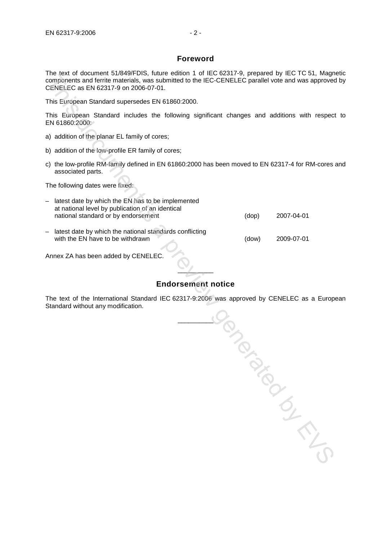## **Foreword**

The text of document 51/849/FDIS, future edition 1 of IEC 62317-9, prepared by IEC TC 51, Magnetic components and ferrite materials, was submitted to the IEC-CENELEC parallel vote and was approved by CENELEC as EN 62317-9 on 2006-07-01.

This European Standard supersedes EN 61860:2000.

This European Standard includes the following significant changes and additions with respect to EN 61860:2000:

- a) addition of the planar EL family of cores;
- b) addition of the low-profile ER family of cores;
- c) the low-profile RM-family defined in EN 61860:2000 has been moved to EN 62317-4 for RM-cores and associated parts.

The following dates were fixed:

| $-$ | latest date by which the EN has to be implemented<br>at national level by publication of an identical |       |            |
|-----|-------------------------------------------------------------------------------------------------------|-------|------------|
|     | national standard or by endorsement                                                                   | (dop) | 2007-04-01 |
|     |                                                                                                       |       |            |
|     | - latest date by which the national standards conflicting                                             |       |            |
|     | with the EN have to be withdrawn                                                                      | (dow) | 2009-07-01 |
|     |                                                                                                       |       |            |

Annex ZA has been added by CENELEC.

## **Endorsement notice**

 $\frac{1}{2}$ 

The text of the International Standard IEC 62317-9:2006 was approved by CENELEC as a European Standard without any modification.

Paganch is a previous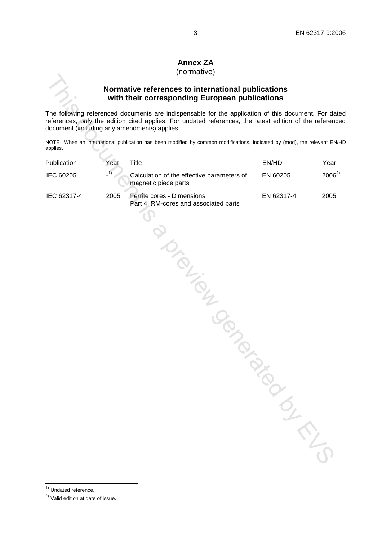## **Annex ZA**

(normative)

## **Normative references to international publications with their corresponding European publications**

|                    |       | 1.0011100007                                                                                                                                                                                                                                                   |               |            |
|--------------------|-------|----------------------------------------------------------------------------------------------------------------------------------------------------------------------------------------------------------------------------------------------------------------|---------------|------------|
|                    |       | Normative references to international publications<br>with their corresponding European publications                                                                                                                                                           |               |            |
|                    |       | The following referenced documents are indispensable for the application of this document. For date<br>references, only the edition cited applies. For undated references, the latest edition of the reference<br>document (including any amendments) applies. |               |            |
| applies.           |       | NOTE When an international publication has been modified by common modifications, indicated by (mod), the relevant EN/F                                                                                                                                        |               |            |
| <b>Publication</b> | Year  | <b>Title</b>                                                                                                                                                                                                                                                   | EN/HD         | Year       |
| IEC 60205          | $-1)$ | Calculation of the effective parameters of<br>magnetic piece parts                                                                                                                                                                                             | EN 60205      | $2006^{2}$ |
| IEC 62317-4        | 2005  | Ferrite cores - Dimensions<br>Part 4: RM-cores and associated parts                                                                                                                                                                                            | EN 62317-4    | 2005       |
|                    |       | <b>PIDENCER DE</b>                                                                                                                                                                                                                                             |               |            |
|                    |       |                                                                                                                                                                                                                                                                | PARTICIPAL MA |            |

 $1)$  Undated reference.

 $2)$  Valid edition at date of issue.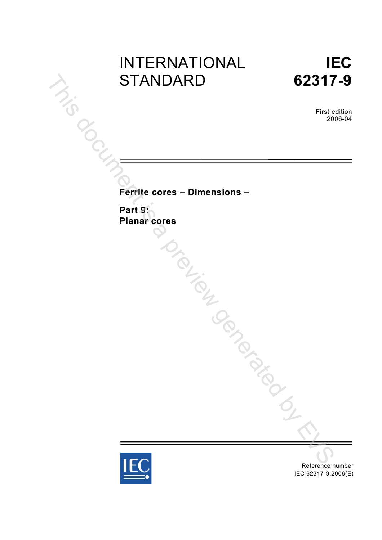# INTERNATIONAL<br>
STANDARD<br>
S **STANDARD**



First edition 2006-04

## **Ferrite cores – Dimensions –**

**Part 9: Planar cores**  Jessies der Konstantinoper



Reference number IEC 62317-9:2006(E)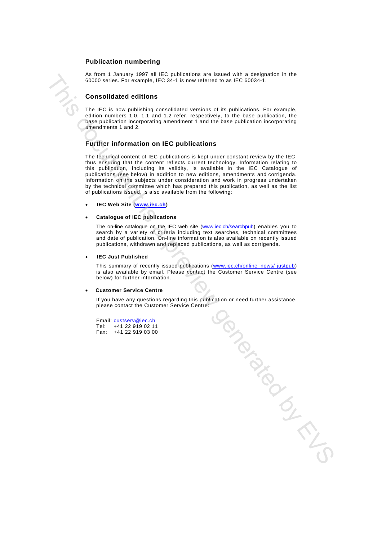## **Publication numbering**

As from 1 January 1997 all IEC publications are issued with a designation in the 60000 series. For example, IEC 34-1 is now referred to as IEC 60034-1.

## **Consolidated editions**

The IEC is now publishing consolidated versions of its publications. For example, edition numbers 1.0, 1.1 and 1.2 refer, respectively, to the base publication, the base publication incorporating amendment 1 and the base publication incorporating amendments 1 and 2.

## **Further information on IEC publications**

The technical content of IEC publications is kept under constant review by the IEC, thus ensuring that the content reflects current technology. Information relating to this publication, including its validity, is available in the IEC Catalogue of publications (see below) in addition to new editions, amendments and corrigenda. Information on the subjects under consideration and work in progress undertaken by the technical committee which has prepared this publication, as well as the list of publications issued, is also available from the following:

• **IEC Web Site (www.iec.ch)** 

## • **Catalogue of IEC publications**

The on-line catalogue on the IEC web site (www.iec.ch/searchpub) enables you to search by a variety of criteria including text searches, technical committees and date of publication. On-line information is also available on recently issued publications, withdrawn and replaced publications, as well as corrigenda.

• **IEC Just Published** 

This summary of recently issued publications (www.iec.ch/online\_news/ justpub) is also available by email. Please contact the Customer Service Centre (see below) for further information.

## • **Customer Service Centre**

If you have any questions regarding this publication or need further assistance, please contact the Customer Service Centre: Payance is a previously

Email: custserv@iec.ch Tel: +41 22 919 02 11<br>Fax: +41 22 919 03 00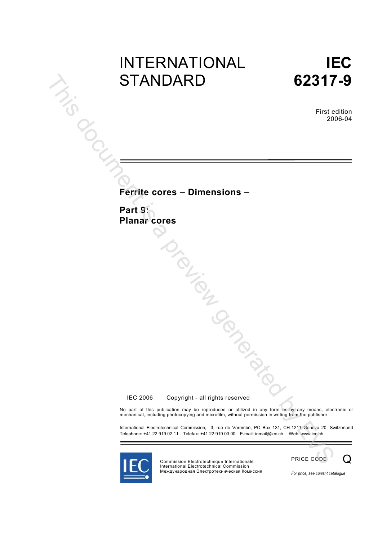# INTERNATIONAL<br>
STANDARD<br>
S **STANDARD**

# **IEC 62317-9**

First edition 2006-04

# **Ferrite cores – Dimensions –**  The Dimensions -<br>
The preview generations -<br>
Contract by EVS<br>
Contract of the Contract of the Contract of the Contract of the Contract of the Contract of the Contract of the Contract of the Contract of the Contract of the

**Part 9: Planar cores** 

© IEC 2006 - Copyright - all rights reserved

No part of this publication may be reproduced or utilized in any form or by any means, electronic or mechanical, including photocopying and microfilm, without permission in writing from the publisher.

International Electrotechnical Commission, 3, rue de Varembé, PO Box 131, CH-1211 Geneva 20, Switzerland Telephone: +41 22 919 02 11 Telefax: +41 22 919 03 00 E-mail: inmail@iec.ch Web: www.iec.ch



PRICE CODE Commission Electrotechnique Internationale International Electrotechnical Commission Международная Электротехническая Комиссия



*For price, see current catalogue*

 $\Omega$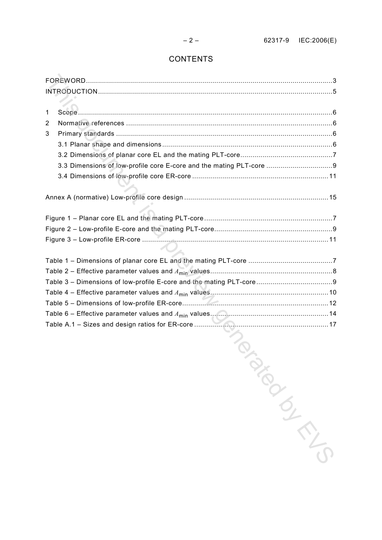## **CONTENTS**

| 1 |                                                                      |
|---|----------------------------------------------------------------------|
| 2 |                                                                      |
| 3 |                                                                      |
|   |                                                                      |
|   |                                                                      |
|   | 3.3 Dimensions of low-profile core E-core and the mating PLT-core  9 |
|   |                                                                      |
|   |                                                                      |
|   |                                                                      |
|   |                                                                      |
|   |                                                                      |
|   |                                                                      |
|   |                                                                      |
|   |                                                                      |
|   |                                                                      |
|   |                                                                      |
|   |                                                                      |
|   |                                                                      |
|   |                                                                      |
|   |                                                                      |
|   |                                                                      |
|   |                                                                      |
|   | Q                                                                    |
|   |                                                                      |
|   |                                                                      |
|   |                                                                      |
|   |                                                                      |
|   |                                                                      |
|   |                                                                      |
|   |                                                                      |
|   |                                                                      |
|   |                                                                      |
|   |                                                                      |
|   |                                                                      |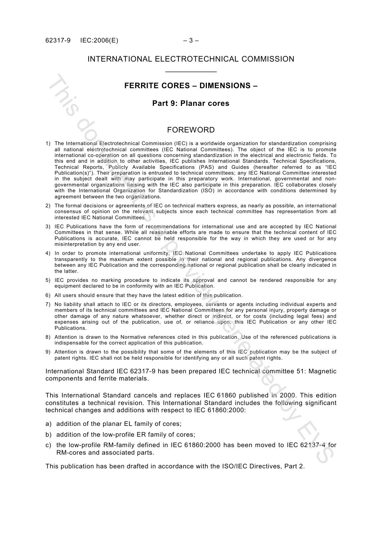## INTERNATIONAL ELECTROTECHNICAL COMMISSION  $\frac{1}{2}$

## **FERRITE CORES – DIMENSIONS –**

## **Part 9: Planar cores**

## FOREWORD

- 1) The International Electrotechnical Commission (IEC) is a worldwide organization for standardization comprising all national electrotechnical committees (IEC National Committees). The object of the IEC is to promote international co-operation on all questions concerning standardization in the electrical and electronic fields. To this end and in addition to other activities, IEC publishes International Standards. Technical Specifications, Technical Reports, Publicly Available Specifications (PAS) and Guides (hereafter referred to as "IEC Publication(s)"). Their preparation is entrusted to technical committees; any IEC National Committee interested in the subject dealt with may participate in this preparatory work. International, governmental and nongovernmental organizations liaising with the IEC also participate in this preparation. IEC collaborates closely with the International Organization for Standardization (ISO) in accordance with conditions determined by agreement between the two organizations. **FERRITE CORES - DIMENSIONS -<br>
Part 9: Planar cores<br>
FOREWORD<br>
The Memmetric Restriction of the property of the Context of the Context<br>
In reason determines a property observation of the Context of the Context<br>
Internal c**
- 2) The formal decisions or agreements of IEC on technical matters express, as nearly as possible, an international consensus of opinion on the relevant subjects since each technical committee has representation from all interested IEC National Committees.
- 3) IEC Publications have the form of recommendations for international use and are accepted by IEC National Committees in that sense. While all reasonable efforts are made to ensure that the technical content of IEC Publications is accurate, IEC cannot be held responsible for the way in which they are used or for any misinterpretation by any end user.
- 4) In order to promote international uniformity, IEC National Committees undertake to apply IEC Publications transparently to the maximum extent possible in their national and regional publications. Any divergence between any IEC Publication and the corresponding national or regional publication shall be clearly indicated in the latter.
- 5) IEC provides no marking procedure to indicate its approval and cannot be rendered responsible for any equipment declared to be in conformity with an IEC Publication.
- 6) All users should ensure that they have the latest edition of this publication.
- 7) No liability shall attach to IEC or its directors, employees, servants or agents including individual experts and members of its technical committees and IEC National Committees for any personal injury, property damage or other damage of any nature whatsoever, whether direct or indirect, or for costs (including legal fees) and expenses arising out of the publication, use of, or reliance upon, this IEC Publication or any other IEC Publications.
- 8) Attention is drawn to the Normative references cited in this publication. Use of the referenced publications is indispensable for the correct application of this publication.
- 9) Attention is drawn to the possibility that some of the elements of this IEC publication may be the subject of patent rights. IEC shall not be held responsible for identifying any or all such patent rights.

International Standard IEC 62317-9 has been prepared IEC technical committee 51: Magnetic components and ferrite materials.

This International Standard cancels and replaces IEC 61860 published in 2000. This edition constitutes a technical revision. This International Standard includes the following significant technical changes and additions with respect to IEC 61860:2000:

- a) addition of the planar EL family of cores;
- b) addition of the low-profile ER family of cores;
- c) the low-profile RM-family defined in IEC 61860:2000 has been moved to IEC 62137-4 for RM-cores and associated parts.

This publication has been drafted in accordance with the ISO/IEC Directives, Part 2.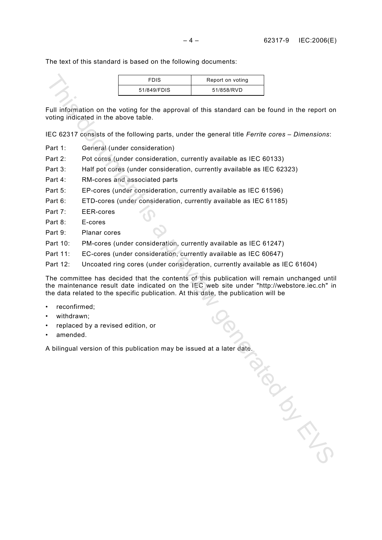The text of this standard is based on the following documents:



Full information on the voting for the approval of this standard can be found in the report on voting indicated in the above table.

IEC 62317 consists of the following parts, under the general title *Ferrite cores – Dimensions*:

- Part 1: General (under consideration)
- Part 2: Pot cores (under consideration, currently available as IEC 60133)
- Part 3: Half pot cores (under consideration, currently available as IEC 62323)
- Part 4: RM-cores and associated parts
- Part 5: EP-cores (under consideration, currently available as IEC 61596)
- Part 6: ETD-cores (under consideration, currently available as IEC 61185)
- Part 7: EER-cores
- Part 8: E-cores
- Part 9: Planar cores
- Part 10: PM-cores (under consideration, currently available as IEC 61247)
- Part 11: EC-cores (under consideration, currently available as IEC 60647)
- Part 12: Uncoated ring cores (under consideration, currently available as IEC 61604)

The committee has decided that the contents of this publication will remain unchanged until the maintenance result date indicated on the IEC web site under "http://webstore.iec.ch" in the data related to the specific publication. At this date, the publication will be Transformation on the voring and the space on volte and the formula version of the space of the space of the space of the space of the space of the space of the space of the space of the space of the space of the space of

- reconfirmed;
- withdrawn;
- replaced by a revised edition, or
- amended.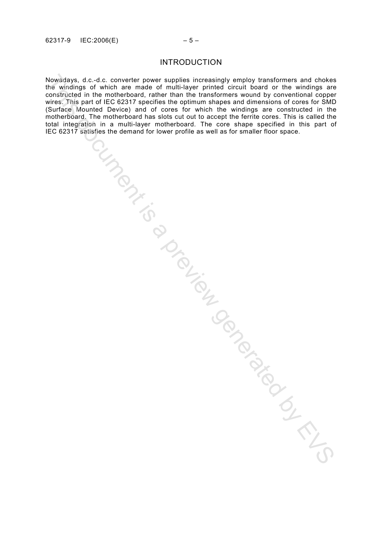## INTRODUCTION

Nowadays, d.c.-d.c. converter power supplies increasingly employ transformers and chokes the windings of which are made of multi-layer printed circuit board or the windings are constructed in the motherboard, rather than the transformers wound by conventional copper wires. This part of IEC 62317 specifies the optimum shapes and dimensions of cores for SMD (Surface Mounted Device) and of cores for which the windings are constructed in the motherboard. The motherboard has slots cut out to accept the ferrite cores. This is called the total integration in a multi-layer motherboard. The core shape specified in this part of Nowledge, d.c. converts power satisfies increasingly employ transformers and choose occupations of convertice as well as the matter transformers would by conventional conservers. This a part of IEC 62317 specifies the epit